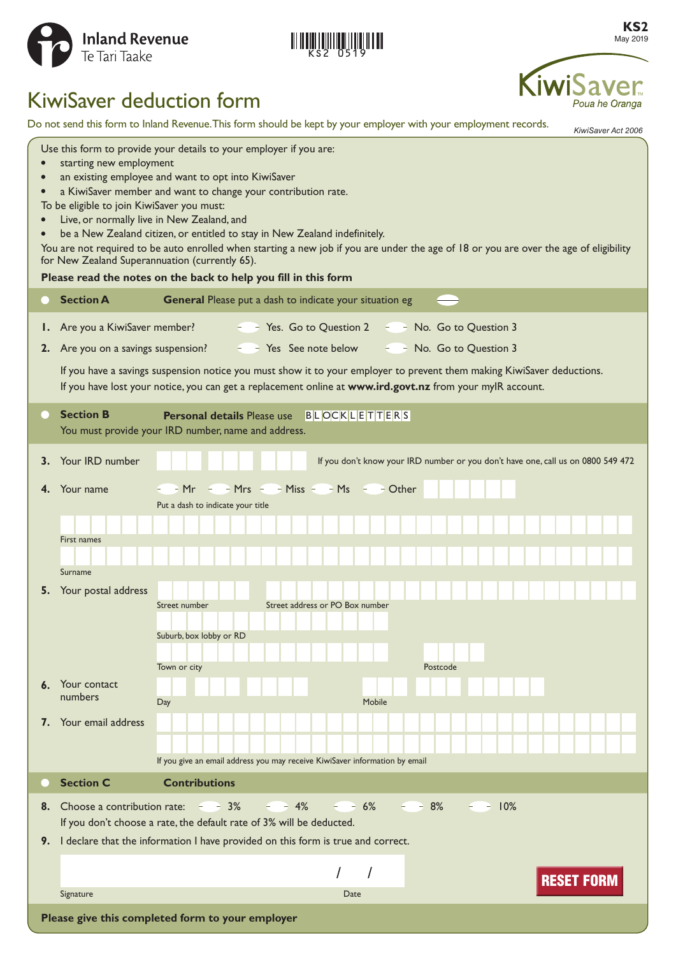

**KS2** May 2019

Poua he Oranga

# KiwiSaver deduction form

Do not send this form to Inland Revenue. This form should be kept by your employer with your employment records.

*KiwiSaver Act 2006* Use this form to provide your details to your employer if you are: **•** starting new employment **•** an existing employee and want to opt into KiwiSaver **•** a KiwiSaver member and want to change your contribution rate. To be eligible to join KiwiSaver you must: **•** Live, or normally live in New Zealand, and **•** be a New Zealand citizen, or entitled to stay in New Zealand indefinitely. You are not required to be auto enrolled when starting a new job if you are under the age of 18 or you are over the age of eligibility for New Zealand Superannuation (currently 65). **Please read the notes on the back to help you fill in this form Section A General** Please put a dash to indicate your situation eg **1.** Are you a KiwiSaver member? **The State State State Contract Contract** Are you a KiwiSaver member? **The State State Contract Are State** State Outstan Are State Outstan 3 **2.** Are you on a savings suspension?  $\leq$  Yes See note below  $\leq$  No. Go to Question 3 If you have a savings suspension notice you must show it to your employer to prevent them making KiwiSaver deductions. If you have lost your notice, you can get a replacement online at **[www.ird.govt.nz](http://www.ird.govt.nz)** from your myIR account. **Section B Personal details** Please use BLOCKLETTERS You must provide your IRD number, name and address. **3.** Your IRD number **If you don't know your IRD number or you don't have one, call us on 0800 549 472 4.** Your name  $-Mr$   $-Mrs$   $-Miss$   $-Miss$   $-Ms$   $-$  Other Put a dash to indicate your title First names Surname **5.** Your postal address Street number Street address or PO Box number Suburb, box lobby or RD Town or city Postcode **6.** Your contact numbers Day Day **Day 1999 7.** Your email address If you give an email address you may receive KiwiSaver information by email **Section C Contributions 8.** Choose a contribution rate:  $\overline{3}$  8%  $\overline{4}$  8%  $\overline{6}$  8%  $\overline{6}$  9%  $\overline{6}$  9% If you don't choose a rate, the default rate of 3% will be deducted. **9.** I declare that the information I have provided on this form is true and correct. Signature Date of the Contract of the Contract of the Contract of the Contract of the Date Signature **Please give this completed form to your employer** Date **RESET FORM**<br>Please give this completed form to your employer